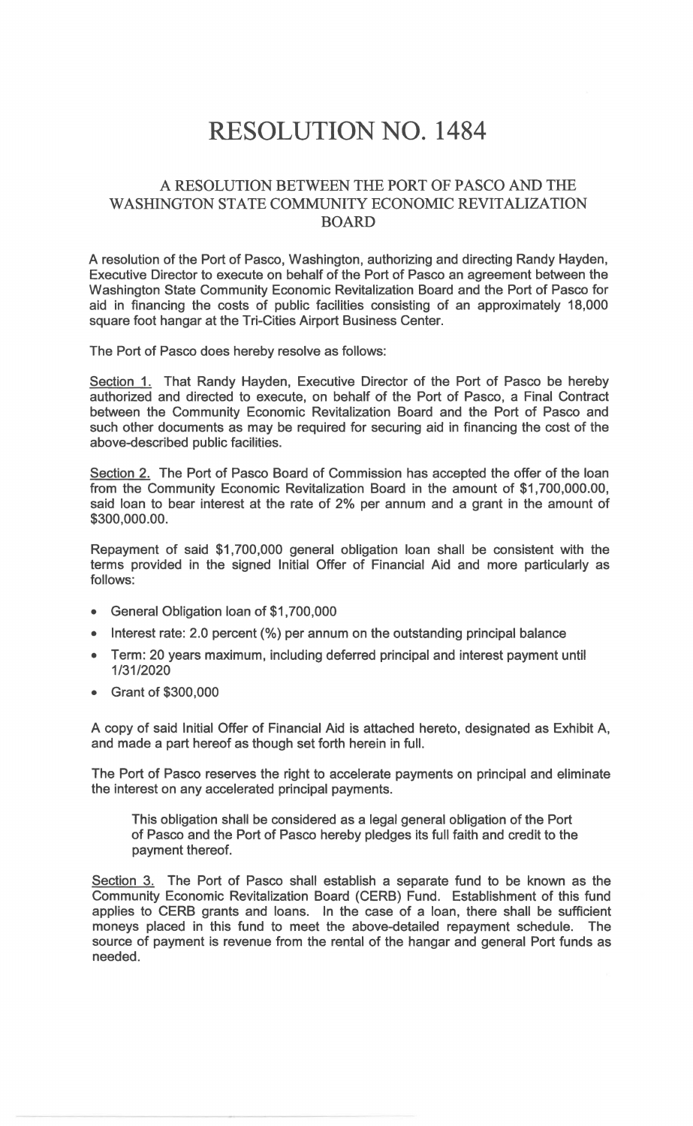## RESOLUTION NO. **1484**

## A RESOLUTION BETWEEN THE PORT OF PASCO AND THE WASHINGTON STATE COMMUNITY ECONOMIC REVITALIZATION BOARD

A resolution of the Port of Pasco, Washington, authorizing and directing Randy Hayden, Executive Director to execute on behalf of the Port of Pasco an agreement between the Washington State Community Economic Revitalization Board and the Port of Pasco for aid in financing the costs of public facilities consisting of an approximately 18,000 square foot hangar at the Tri-Cities Airport Business Center.

The Port of Pasco does hereby resolve as follows:

Section 1. That Randy Hayden, Executive Director of the Port of Pasco be hereby authorized and directed to execute, on behalf of the Port of Pasco, a Final Contract between the Community Economic Revitalization Board and the Port of Pasco and such other documents as may be required for securing aid in financing the cost of the above-described public facilities.

Section 2. The Port of Pasco Board of Commission has accepted the offer of the loan from the Community Economic Revitalization Board in the amount of \$1,700,000.00, said loan to bear interest at the rate of 2% per annum and a grant in the amount of \$300,000.00.

Repayment of said \$1,700,000 general obligation loan shall be consistent with the terms provided in the signed Initial Offer of Financial Aid and more particularly as follows:

- General Obligation loan of \$1,700,000
- Interest rate: 2.0 percent (%) per annum on the outstanding principal balance
- Term: 20 years maximum, including deferred principal and interest payment until 1/31/2020
- Grant of \$300,000

A copy of said Initial Offer of Financial Aid is attached hereto, designated as Exhibit A, and made a part hereof as though set forth herein in full.

The Port of Pasco reserves the right to accelerate payments on principal and eliminate the interest on any accelerated principal payments.

This obligation shall be considered as a legal general obligation of the Port of Pasco and the Port of Pasco hereby pledges its full faith and credit to the payment thereof.

Section 3. The Port of Pasco shall establish a separate fund to be known as the Community Economic Revitalization Board (CERB) Fund. Establishment of this fund applies to CERB grants and loans. In the case of a loan, there shall be sufficient moneys placed in this fund to meet the above-detailed repayment schedule. The source of payment is revenue from the rental of the hangar and general Port funds as needed.